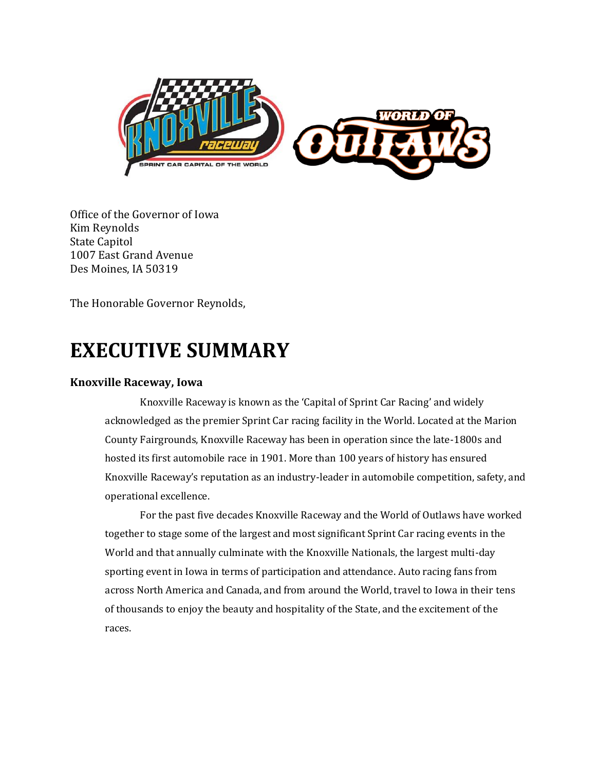

Office of the Governor of Iowa Kim Reynolds State Capitol 1007 East Grand Avenue Des Moines, IA 50319

The Honorable Governor Reynolds,

# **EXECUTIVE SUMMARY**

#### **Knoxville Raceway, Iowa**

Knoxville Raceway is known as the 'Capital of Sprint Car Racing' and widely acknowledged as the premier Sprint Car racing facility in the World. Located at the Marion County Fairgrounds, Knoxville Raceway has been in operation since the late-1800s and hosted its first automobile race in 1901. More than 100 years of history has ensured Knoxville Raceway's reputation as an industry-leader in automobile competition, safety, and operational excellence.

For the past five decades Knoxville Raceway and the World of Outlaws have worked together to stage some of the largest and most significant Sprint Car racing events in the World and that annually culminate with the Knoxville Nationals, the largest multi-day sporting event in Iowa in terms of participation and attendance. Auto racing fans from across North America and Canada, and from around the World, travel to Iowa in their tens of thousands to enjoy the beauty and hospitality of the State, and the excitement of the races.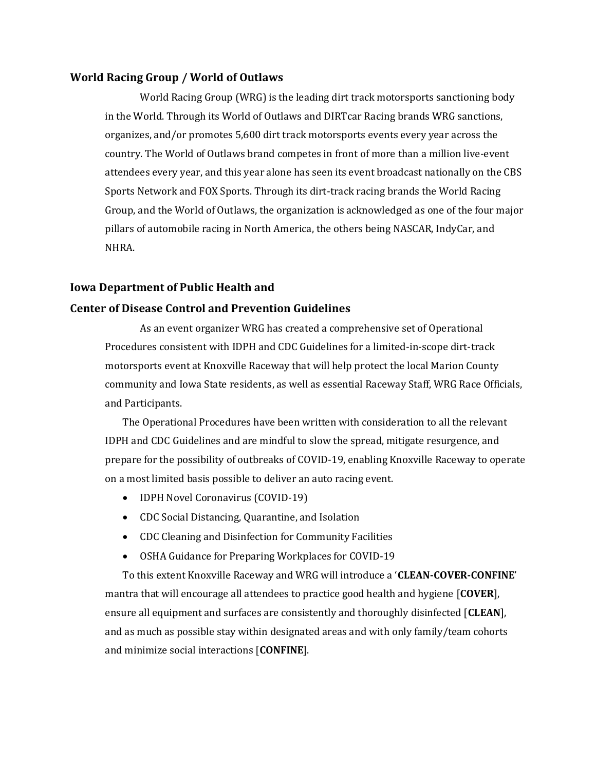#### **World Racing Group / World of Outlaws**

World Racing Group (WRG) is the leading dirt track motorsports sanctioning body in the World. Through its World of Outlaws and DIRTcar Racing brands WRG sanctions, organizes, and/or promotes 5,600 dirt track motorsports events every year across the country. The World of Outlaws brand competes in front of more than a million live-event attendees every year, and this year alone has seen its event broadcast nationally on the CBS Sports Network and FOX Sports. Through its dirt-track racing brands the World Racing Group, and the World of Outlaws, the organization is acknowledged as one of the four major pillars of automobile racing in North America, the others being NASCAR, IndyCar, and NHRA.

#### **Iowa Department of Public Health and**

#### **Center of Disease Control and Prevention Guidelines**

As an event organizer WRG has created a comprehensive set of Operational Procedures consistent with IDPH and CDC Guidelines for a limited-in-scope dirt-track motorsports event at Knoxville Raceway that will help protect the local Marion County community and Iowa State residents, as well as essential Raceway Staff, WRG Race Officials, and Participants.

The Operational Procedures have been written with consideration to all the relevant IDPH and CDC Guidelines and are mindful to slow the spread, mitigate resurgence, and prepare for the possibility of outbreaks of COVID-19, enabling Knoxville Raceway to operate on a most limited basis possible to deliver an auto racing event.

- IDPH Novel Coronavirus (COVID-19)
- CDC Social Distancing, Quarantine, and Isolation
- CDC Cleaning and Disinfection for Community Facilities
- OSHA Guidance for Preparing Workplaces for COVID-19

To this extent Knoxville Raceway and WRG will introduce a '**CLEAN-COVER-CONFINE**' mantra that will encourage all attendees to practice good health and hygiene [**COVER**], ensure all equipment and surfaces are consistently and thoroughly disinfected [**CLEAN**], and as much as possible stay within designated areas and with only family/team cohorts and minimize social interactions [**CONFINE**].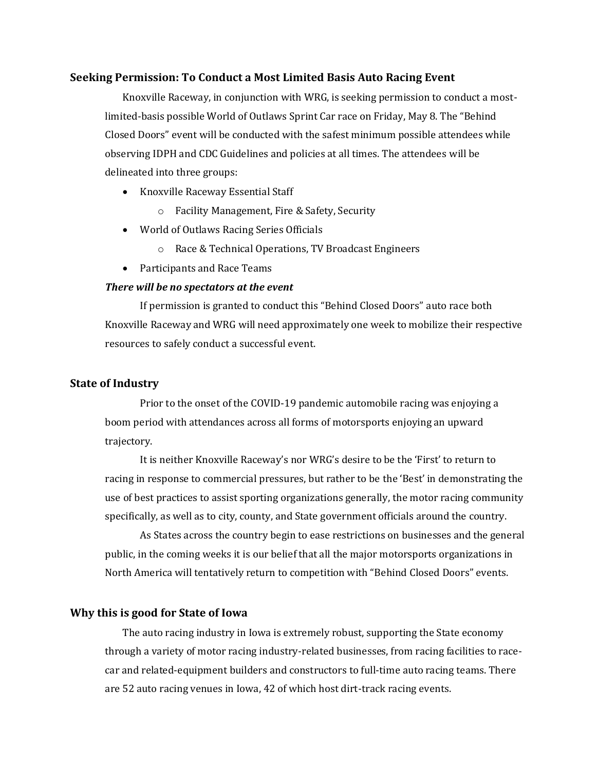#### **Seeking Permission: To Conduct a Most Limited Basis Auto Racing Event**

Knoxville Raceway, in conjunction with WRG, is seeking permission to conduct a mostlimited-basis possible World of Outlaws Sprint Car race on Friday, May 8. The "Behind Closed Doors" event will be conducted with the safest minimum possible attendees while observing IDPH and CDC Guidelines and policies at all times. The attendees will be delineated into three groups:

- Knoxville Raceway Essential Staff
	- o Facility Management, Fire & Safety, Security
- World of Outlaws Racing Series Officials
	- o Race & Technical Operations, TV Broadcast Engineers
- Participants and Race Teams

#### *There will be no spectators at the event*

If permission is granted to conduct this "Behind Closed Doors" auto race both Knoxville Raceway and WRG will need approximately one week to mobilize their respective resources to safely conduct a successful event.

#### **State of Industry**

Prior to the onset of the COVID-19 pandemic automobile racing was enjoying a boom period with attendances across all forms of motorsports enjoying an upward trajectory.

It is neither Knoxville Raceway's nor WRG's desire to be the 'First' to return to racing in response to commercial pressures, but rather to be the 'Best' in demonstrating the use of best practices to assist sporting organizations generally, the motor racing community specifically, as well as to city, county, and State government officials around the country.

As States across the country begin to ease restrictions on businesses and the general public, in the coming weeks it is our belief that all the major motorsports organizations in North America will tentatively return to competition with "Behind Closed Doors" events.

#### **Why this is good for State of Iowa**

The auto racing industry in Iowa is extremely robust, supporting the State economy through a variety of motor racing industry-related businesses, from racing facilities to racecar and related-equipment builders and constructors to full-time auto racing teams. There are 52 auto racing venues in Iowa, 42 of which host dirt-track racing events.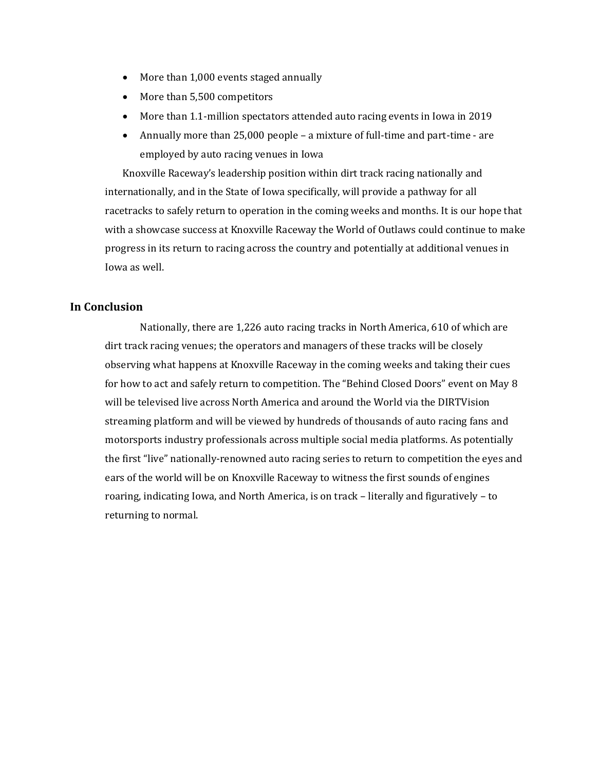- More than 1,000 events staged annually
- More than 5,500 competitors
- More than 1.1-million spectators attended auto racing events in Iowa in 2019
- Annually more than 25,000 people a mixture of full-time and part-time are employed by auto racing venues in Iowa

Knoxville Raceway's leadership position within dirt track racing nationally and internationally, and in the State of Iowa specifically, will provide a pathway for all racetracks to safely return to operation in the coming weeks and months. It is our hope that with a showcase success at Knoxville Raceway the World of Outlaws could continue to make progress in its return to racing across the country and potentially at additional venues in Iowa as well.

#### **In Conclusion**

Nationally, there are 1,226 auto racing tracks in North America, 610 of which are dirt track racing venues; the operators and managers of these tracks will be closely observing what happens at Knoxville Raceway in the coming weeks and taking their cues for how to act and safely return to competition. The "Behind Closed Doors" event on May 8 will be televised live across North America and around the World via the DIRTVision streaming platform and will be viewed by hundreds of thousands of auto racing fans and motorsports industry professionals across multiple social media platforms. As potentially the first "live" nationally-renowned auto racing series to return to competition the eyes and ears of the world will be on Knoxville Raceway to witness the first sounds of engines roaring, indicating Iowa, and North America, is on track – literally and figuratively – to returning to normal.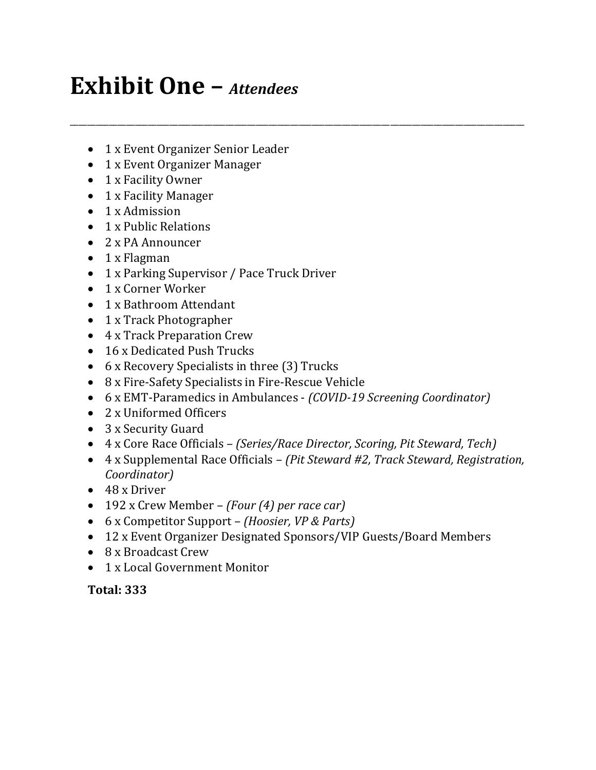# **Exhibit One –** *Attendees*

- 1 x Event Organizer Senior Leader
- 1 x Event Organizer Manager
- 1 x Facility Owner
- 1 x Facility Manager
- 1 x Admission
- 1 x Public Relations
- 2 x PA Announcer
- 1 x Flagman
- 1 x Parking Supervisor / Pace Truck Driver
- 1 x Corner Worker
- 1 x Bathroom Attendant
- 1 x Track Photographer
- 4 x Track Preparation Crew
- 16 x Dedicated Push Trucks
- 6 x Recovery Specialists in three (3) Trucks
- 8 x Fire-Safety Specialists in Fire-Rescue Vehicle
- 6 x EMT-Paramedics in Ambulances *(COVID-19 Screening Coordinator)*

\_\_\_\_\_\_\_\_\_\_\_\_\_\_\_\_\_\_\_\_\_\_\_\_\_\_\_\_\_\_\_\_\_\_\_\_\_\_\_\_\_\_\_\_\_\_\_\_\_\_\_\_\_\_\_\_\_\_\_\_\_\_\_\_\_\_\_\_\_\_\_\_\_\_\_\_\_\_\_\_\_\_\_\_\_\_\_\_\_\_\_\_\_\_\_\_\_\_\_\_\_\_\_\_\_

- 2 x Uniformed Officers
- 3 x Security Guard
- 4 x Core Race Officials *(Series/Race Director, Scoring, Pit Steward, Tech)*
- 4 x Supplemental Race Officials *(Pit Steward #2, Track Steward, Registration, Coordinator)*
- 48 x Driver
- 192 x Crew Member *(Four (4) per race car)*
- 6 x Competitor Support *(Hoosier, VP & Parts)*
- 12 x Event Organizer Designated Sponsors/VIP Guests/Board Members
- 8 x Broadcast Crew
- 1 x Local Government Monitor

# **Total: 333**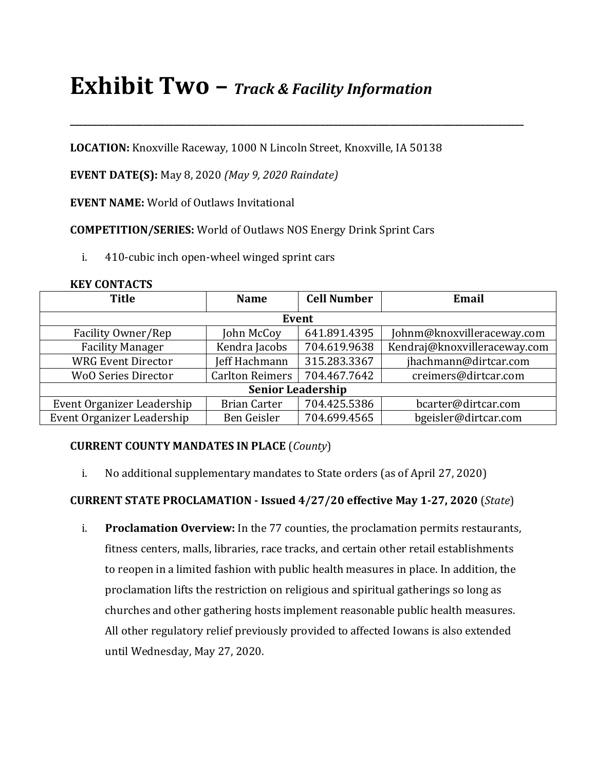# **Exhibit Two –** *Track & Facility Information*

**LOCATION:** Knoxville Raceway, 1000 N Lincoln Street, Knoxville, IA 50138

**\_\_\_\_\_\_\_\_\_\_\_\_\_\_\_\_\_\_\_\_\_\_\_\_\_\_\_\_\_\_\_\_\_\_\_\_\_\_\_\_\_\_\_\_\_\_\_\_\_\_\_\_\_\_\_\_\_\_\_\_\_\_\_\_\_\_\_\_\_\_\_\_\_\_\_\_\_\_\_\_\_\_\_\_\_\_\_\_\_\_\_\_\_\_\_\_\_\_\_\_\_\_\_\_\_**

**EVENT DATE(S):** May 8, 2020 *(May 9, 2020 Raindate)*

**EVENT NAME:** World of Outlaws Invitational

**COMPETITION/SERIES:** World of Outlaws NOS Energy Drink Sprint Cars

i. 410-cubic inch open-wheel winged sprint cars

| <b>Title</b>               | <b>Name</b>            | <b>Cell Number</b> | Email                        |  |
|----------------------------|------------------------|--------------------|------------------------------|--|
| <b>Event</b>               |                        |                    |                              |  |
| Facility Owner/Rep         | John McCoy             | 641.891.4395       | Johnm@knoxvilleraceway.com   |  |
| <b>Facility Manager</b>    | Kendra Jacobs          | 704.619.9638       | Kendraj@knoxvilleraceway.com |  |
| <b>WRG Event Director</b>  | Jeff Hachmann          | 315.283.3367       | jhachmann@dirtcar.com        |  |
| <b>WoO Series Director</b> | <b>Carlton Reimers</b> | 704.467.7642       | creimers@dirtcar.com         |  |
| <b>Senior Leadership</b>   |                        |                    |                              |  |
| Event Organizer Leadership | <b>Brian Carter</b>    | 704.425.5386       | bcarter@dirtcar.com          |  |
| Event Organizer Leadership | Ben Geisler            | 704.699.4565       | bgeisler@dirtcar.com         |  |

#### **KEY CONTACTS**

# **CURRENT COUNTY MANDATES IN PLACE** (*County*)

i. No additional supplementary mandates to State orders (as of April 27, 2020)

# **CURRENT STATE PROCLAMATION - Issued 4/27/20 effective May 1-27, 2020** (*State*)

i. **Proclamation Overview:** In the 77 counties, the proclamation permits restaurants, fitness centers, malls, libraries, race tracks, and certain other retail establishments to reopen in a limited fashion with public health measures in place. In addition, the proclamation lifts the restriction on religious and spiritual gatherings so long as churches and other gathering hosts implement reasonable public health measures. All other regulatory relief previously provided to affected Iowans is also extended until Wednesday, May 27, 2020.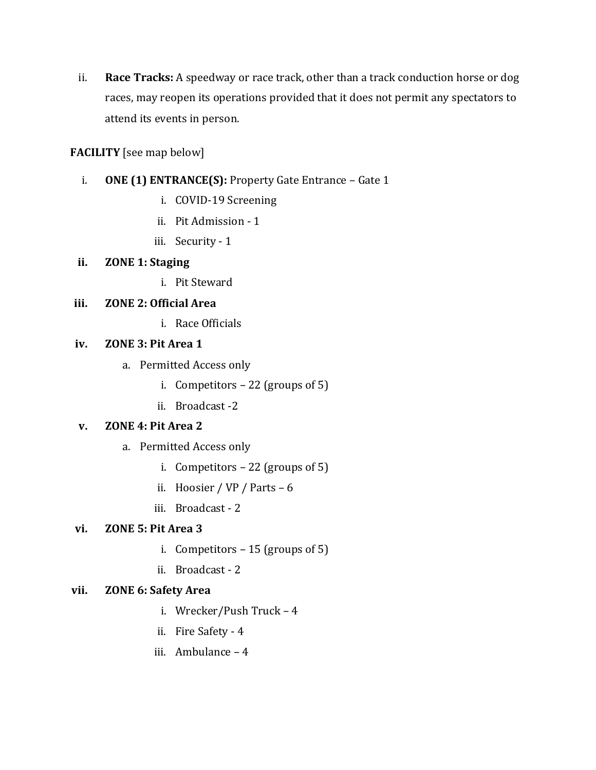ii. **Race Tracks:** A speedway or race track, other than a track conduction horse or dog races, may reopen its operations provided that it does not permit any spectators to attend its events in person.

## **FACILITY** [see map below]

- i. **ONE (1) ENTRANCE(S):** Property Gate Entrance Gate 1
	- i. COVID-19 Screening
	- ii. Pit Admission 1
	- iii. Security 1

## **ii. ZONE 1: Staging**

i. Pit Steward

## **iii. ZONE 2: Official Area**

i. Race Officials

## **iv. ZONE 3: Pit Area 1**

- a. Permitted Access only
	- i. Competitors  $-22$  (groups of 5)
	- ii. Broadcast -2

#### **v. ZONE 4: Pit Area 2**

- a. Permitted Access only
	- i. Competitors 22 (groups of 5)
	- ii. Hoosier / VP / Parts 6
	- iii. Broadcast 2

#### **vi. ZONE 5: Pit Area 3**

- i. Competitors 15 (groups of 5)
- ii. Broadcast 2

# **vii. ZONE 6: Safety Area**

- i. Wrecker/Push Truck 4
- ii. Fire Safety 4
- iii. Ambulance 4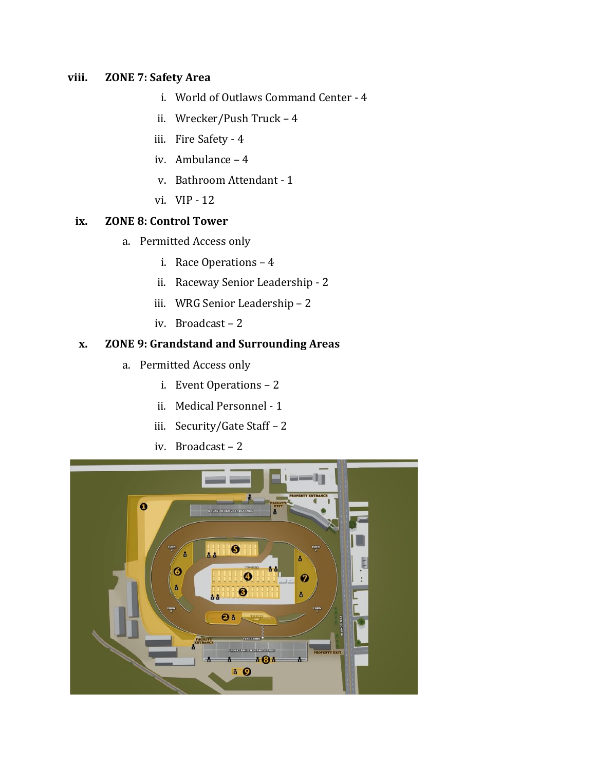# **viii. ZONE 7: Safety Area**

- i. World of Outlaws Command Center 4
- ii. Wrecker/Push Truck 4
- iii. Fire Safety 4
- iv. Ambulance 4
- v. Bathroom Attendant 1
- vi. VIP 12

#### **ix. ZONE 8: Control Tower**

- a. Permitted Access only
	- i. Race Operations 4
	- ii. Raceway Senior Leadership 2
	- iii. WRG Senior Leadership 2
	- iv. Broadcast 2

# **x. ZONE 9: Grandstand and Surrounding Areas**

- a. Permitted Access only
	- i. Event Operations 2
	- ii. Medical Personnel 1
	- iii. Security/Gate Staff 2
	- iv. Broadcast 2

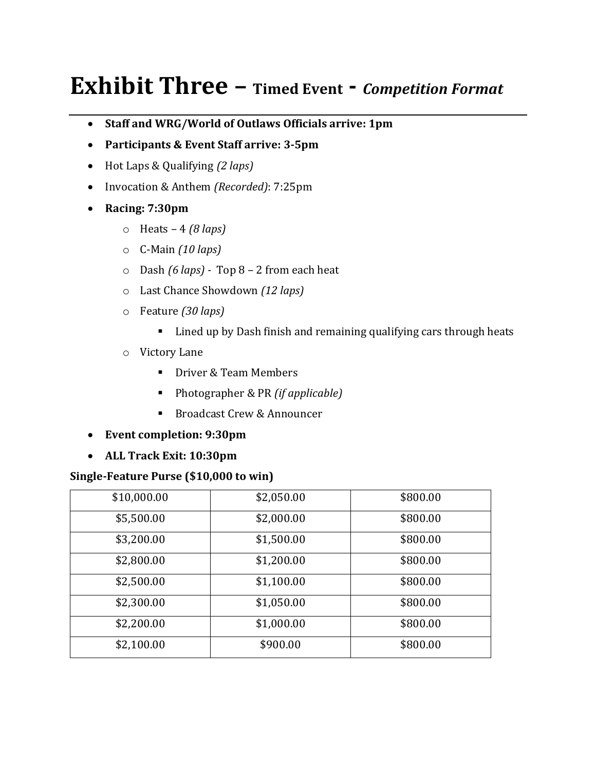# **Exhibit Three – Timed Event -** *Competition Format*

- **Staff and WRG/World of Outlaws Officials arrive: 1pm**
- **Participants & Event Staff arrive: 3-5pm**
- Hot Laps & Qualifying *(2 laps)*
- Invocation & Anthem *(Recorded)*: 7:25pm
- **Racing: 7:30pm**
	- o Heats 4 *(8 laps)*
	- o C-Main *(10 laps)*
	- o Dash *(6 laps) -* Top 8 2 from each heat
	- o Last Chance Showdown *(12 laps)*
	- o Feature *(30 laps)*
		- Lined up by Dash finish and remaining qualifying cars through heats
	- o Victory Lane
		- Driver & Team Members
		- Photographer & PR *(if applicable)*
		- Broadcast Crew & Announcer
- **Event completion: 9:30pm**
- **ALL Track Exit: 10:30pm**

#### **Single-Feature Purse (\$10,000 to win)**

| \$10,000.00 | \$2,050.00 | \$800.00 |
|-------------|------------|----------|
| \$5,500.00  | \$2,000.00 | \$800.00 |
| \$3,200.00  | \$1,500.00 | \$800.00 |
| \$2,800.00  | \$1,200.00 | \$800.00 |
| \$2,500.00  | \$1,100.00 | \$800.00 |
| \$2,300.00  | \$1,050.00 | \$800.00 |
| \$2,200.00  | \$1,000.00 | \$800.00 |
| \$2,100.00  | \$900.00   | \$800.00 |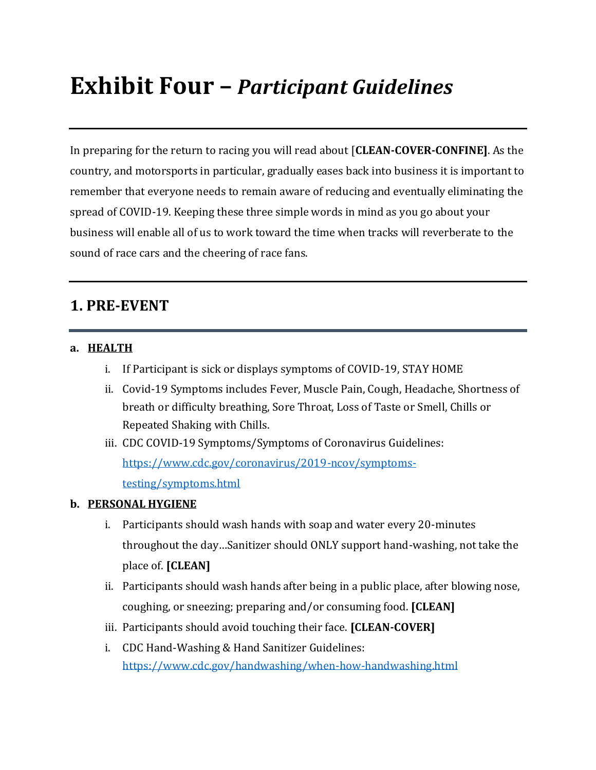# **Exhibit Four –** *Participant Guidelines*

In preparing for the return to racing you will read about [**CLEAN-COVER-CONFINE]**. As the country, and motorsports in particular, gradually eases back into business it is important to remember that everyone needs to remain aware of reducing and eventually eliminating the spread of COVID-19. Keeping these three simple words in mind as you go about your business will enable all of us to work toward the time when tracks will reverberate to the sound of race cars and the cheering of race fans.

# **1. PRE-EVENT**

#### **a. HEALTH**

- i. If Participant is sick or displays symptoms of COVID-19, STAY HOME
- ii. Covid-19 Symptoms includes Fever, Muscle Pain, Cough, Headache, Shortness of breath or difficulty breathing, Sore Throat, Loss of Taste or Smell, Chills or Repeated Shaking with Chills.
- iii. CDC COVID-19 Symptoms/Symptoms of Coronavirus Guidelines: [https://www.cdc.gov/coronavirus/2019-ncov/symptoms](/Users/jeffhachmann/Dropbox%20(World%20Racing%20Group)/Events%20Team%20Shared/WoO/2020%20WoO/Admin/COVID-19/Exhibits/CDC)[testing/symptoms.html](/Users/jeffhachmann/Dropbox%20(World%20Racing%20Group)/Events%20Team%20Shared/WoO/2020%20WoO/Admin/COVID-19/Exhibits/CDC)

#### **b. PERSONAL HYGIENE**

- i. Participants should wash hands with soap and water every 20-minutes throughout the day…Sanitizer should ONLY support hand-washing, not take the place of. **[CLEAN]**
- ii. Participants should wash hands after being in a public place, after blowing nose, coughing, or sneezing; preparing and/or consuming food. **[CLEAN]**
- iii. Participants should avoid touching their face. **[CLEAN-COVER]**
- i. CDC Hand-Washing & Hand Sanitizer Guidelines: <https://www.cdc.gov/handwashing/when-how-handwashing.html>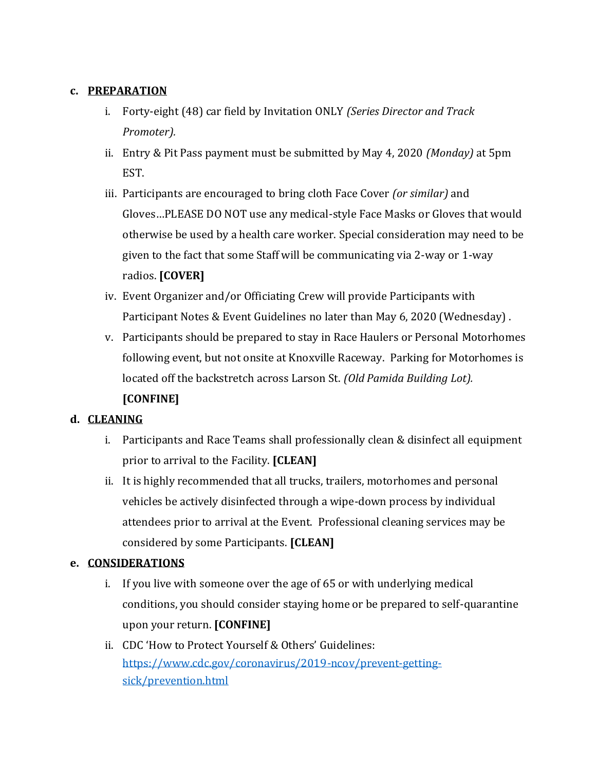## **c. PREPARATION**

- i. Forty-eight (48) car field by Invitation ONLY *(Series Director and Track Promoter).*
- ii. Entry & Pit Pass payment must be submitted by May 4, 2020 *(Monday)* at 5pm EST.
- iii. Participants are encouraged to bring cloth Face Cover *(or similar)* and Gloves…PLEASE DO NOT use any medical-style Face Masks or Gloves that would otherwise be used by a health care worker. Special consideration may need to be given to the fact that some Staff will be communicating via 2-way or 1-way radios. **[COVER]**
- iv. Event Organizer and/or Officiating Crew will provide Participants with Participant Notes & Event Guidelines no later than May 6, 2020 (Wednesday) .
- v. Participants should be prepared to stay in Race Haulers or Personal Motorhomes following event, but not onsite at Knoxville Raceway. Parking for Motorhomes is located off the backstretch across Larson St. *(Old Pamida Building Lot).* **[CONFINE]**

# **d. CLEANING**

- i. Participants and Race Teams shall professionally clean & disinfect all equipment prior to arrival to the Facility. **[CLEAN]**
- ii. It is highly recommended that all trucks, trailers, motorhomes and personal vehicles be actively disinfected through a wipe-down process by individual attendees prior to arrival at the Event. Professional cleaning services may be considered by some Participants. **[CLEAN]**

# **e. CONSIDERATIONS**

- i. If you live with someone over the age of 65 or with underlying medical conditions, you should consider staying home or be prepared to self-quarantine upon your return. **[CONFINE]**
- ii. CDC 'How to Protect Yourself & Others' Guidelines: [https://www.cdc.gov/coronavirus/2019-ncov/prevent-getting](https://www.cdc.gov/coronavirus/2019-ncov/prevent-getting-sick/prevention.html)[sick/prevention.html](https://www.cdc.gov/coronavirus/2019-ncov/prevent-getting-sick/prevention.html)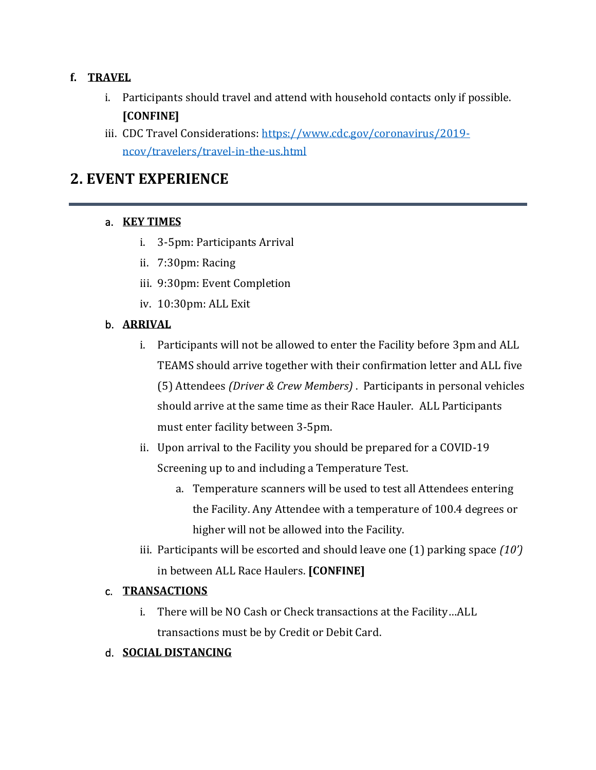# **f. TRAVEL**

- i. Participants should travel and attend with household contacts only if possible. **[CONFINE]**
- iii. CDC Travel Considerations: [https://www.cdc.gov/coronavirus/2019](https://www.cdc.gov/coronavirus/2019-ncov/travelers/travel-in-the-us.html) [ncov/travelers/travel-in-the-us.html](https://www.cdc.gov/coronavirus/2019-ncov/travelers/travel-in-the-us.html)

# **2. EVENT EXPERIENCE**

# a. **KEY TIMES**

- i. 3-5pm: Participants Arrival
- ii. 7:30pm: Racing
- iii. 9:30pm: Event Completion
- iv. 10:30pm: ALL Exit

# b. **ARRIVAL**

- i. Participants will not be allowed to enter the Facility before 3pm and ALL TEAMS should arrive together with their confirmation letter and ALL five (5) Attendees *(Driver & Crew Members)* . Participants in personal vehicles should arrive at the same time as their Race Hauler. ALL Participants must enter facility between 3-5pm.
- ii. Upon arrival to the Facility you should be prepared for a COVID-19 Screening up to and including a Temperature Test.
	- a. Temperature scanners will be used to test all Attendees entering the Facility. Any Attendee with a temperature of 100.4 degrees or higher will not be allowed into the Facility.
- iii. Participants will be escorted and should leave one (1) parking space *(10')* in between ALL Race Haulers. **[CONFINE]**

# c. **TRANSACTIONS**

i. There will be NO Cash or Check transactions at the Facility…ALL transactions must be by Credit or Debit Card.

# d. **SOCIAL DISTANCING**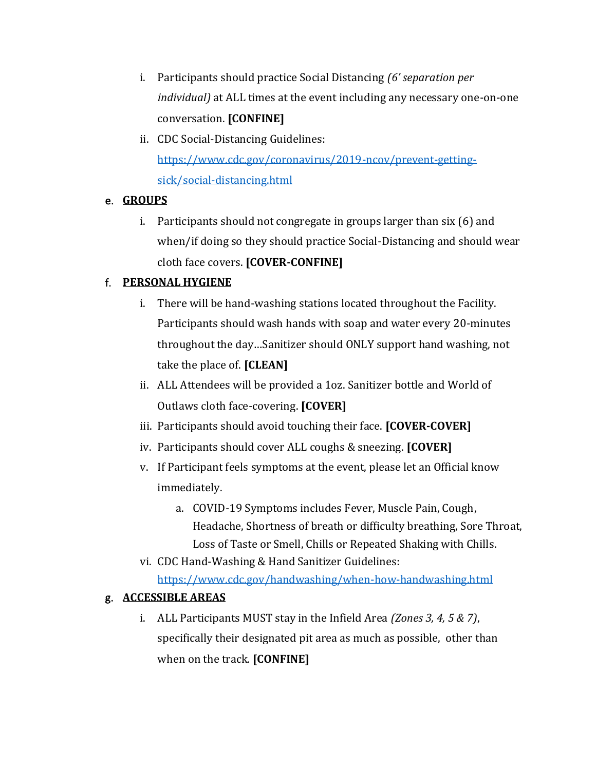- i. Participants should practice Social Distancing *(6' separation per individual)* at ALL times at the event including any necessary one-on-one conversation. **[CONFINE]**
- ii. CDC Social-Distancing Guidelines: [https://www.cdc.gov/coronavirus/2019-ncov/prevent-getting](https://www.cdc.gov/coronavirus/2019-ncov/prevent-getting-sick/social-distancing.html)[sick/social-distancing.html](https://www.cdc.gov/coronavirus/2019-ncov/prevent-getting-sick/social-distancing.html)

# e. **GROUPS**

i. Participants should not congregate in groups larger than six (6) and when/if doing so they should practice Social-Distancing and should wear cloth face covers. **[COVER-CONFINE]**

# f. **PERSONAL HYGIENE**

- i. There will be hand-washing stations located throughout the Facility. Participants should wash hands with soap and water every 20-minutes throughout the day…Sanitizer should ONLY support hand washing, not take the place of. **[CLEAN]**
- ii. ALL Attendees will be provided a 1oz. Sanitizer bottle and World of Outlaws cloth face-covering. **[COVER]**
- iii. Participants should avoid touching their face. **[COVER-COVER]**
- iv. Participants should cover ALL coughs & sneezing. **[COVER]**
- v. If Participant feels symptoms at the event, please let an Official know immediately.
	- a. COVID-19 Symptoms includes Fever, Muscle Pain, Cough, Headache, Shortness of breath or difficulty breathing, Sore Throat, Loss of Taste or Smell, Chills or Repeated Shaking with Chills.
- vi. CDC Hand-Washing & Hand Sanitizer Guidelines: <https://www.cdc.gov/handwashing/when-how-handwashing.html>

# g. **ACCESSIBLE AREAS**

i. ALL Participants MUST stay in the Infield Area *(Zones 3, 4, 5 & 7)*, specifically their designated pit area as much as possible, other than when on the track. **[CONFINE]**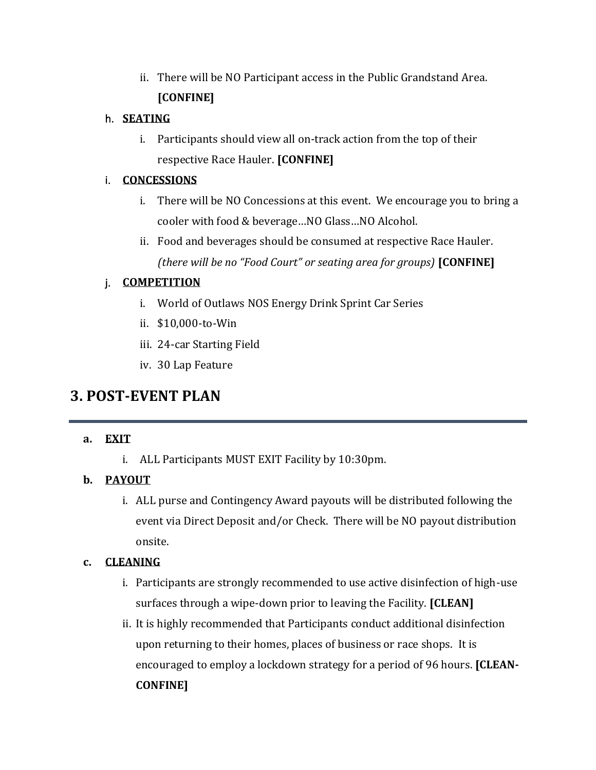ii. There will be NO Participant access in the Public Grandstand Area. **[CONFINE]**

#### h. **SEATING**

i. Participants should view all on-track action from the top of their respective Race Hauler. **[CONFINE]**

## i. **CONCESSIONS**

- i. There will be NO Concessions at this event. We encourage you to bring a cooler with food & beverage…NO Glass…NO Alcohol.
- ii. Food and beverages should be consumed at respective Race Hauler. *(there will be no "Food Court" or seating area for groups)* **[CONFINE]**

# j. **COMPETITION**

- i. World of Outlaws NOS Energy Drink Sprint Car Series
- ii. \$10,000-to-Win
- iii. 24-car Starting Field
- iv. 30 Lap Feature

# **3. POST-EVENT PLAN**

# **a. EXIT**

i. ALL Participants MUST EXIT Facility by 10:30pm.

# **b. PAYOUT**

i. ALL purse and Contingency Award payouts will be distributed following the event via Direct Deposit and/or Check. There will be NO payout distribution onsite.

# **c. CLEANING**

- i. Participants are strongly recommended to use active disinfection of high-use surfaces through a wipe-down prior to leaving the Facility. **[CLEAN]**
- ii. It is highly recommended that Participants conduct additional disinfection upon returning to their homes, places of business or race shops. It is encouraged to employ a lockdown strategy for a period of 96 hours. **[CLEAN-CONFINE]**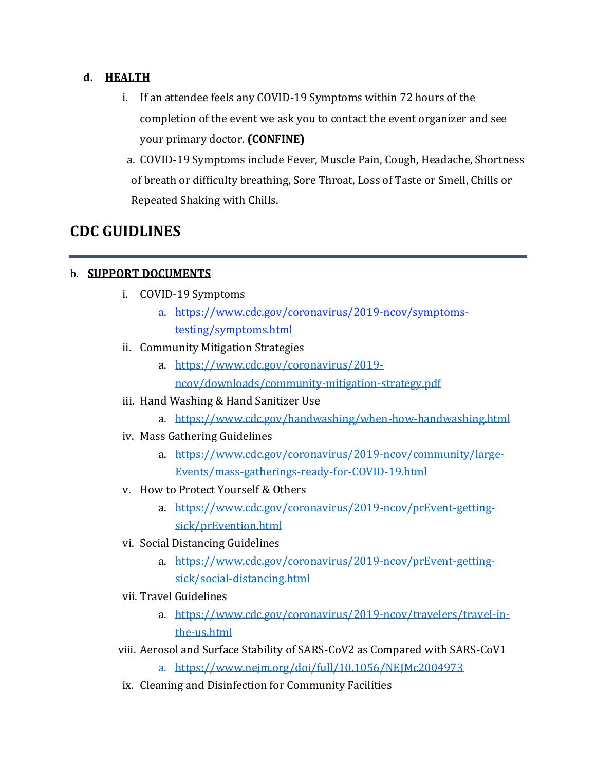## **d. HEALTH**

- i. If an attendee feels any COVID-19 Symptoms within 72 hours of the completion of the event we ask you to contact the event organizer and see your primary doctor. **(CONFINE)**
- a. COVID-19 Symptoms include Fever, Muscle Pain, Cough, Headache, Shortness of breath or difficulty breathing, Sore Throat, Loss of Taste or Smell, Chills or Repeated Shaking with Chills.

# **CDC GUIDLINES**

# b. **SUPPORT DOCUMENTS**

- i. COVID-19 Symptoms
	- a. [https://www.cdc.gov/coronavirus/2019-ncov/symptoms](/Users/jeffhachmann/Dropbox%20(World%20Racing%20Group)/Events%20Team%20Shared/WoO/2020%20WoO/Admin/COVID-19/Operational%20Procedure/CDC)[testing/symptoms.html](/Users/jeffhachmann/Dropbox%20(World%20Racing%20Group)/Events%20Team%20Shared/WoO/2020%20WoO/Admin/COVID-19/Operational%20Procedure/CDC)
- ii. Community Mitigation Strategies
	- a. [https://www.cdc.gov/coronavirus/2019](https://www.cdc.gov/coronavirus/2019-ncov/downloads/community-mitigation-strategy.pdf) [ncov/downloads/community-mitigation-strategy.pdf](https://www.cdc.gov/coronavirus/2019-ncov/downloads/community-mitigation-strategy.pdf)
- iii. Hand Washing & Hand Sanitizer Use
	- a. <https://www.cdc.gov/handwashing/when-how-handwashing.html>
- iv. Mass Gathering Guidelines
	- a. [https://www.cdc.gov/coronavirus/2019-ncov/community/large-](https://www.cdc.gov/coronavirus/2019-ncov/community/large-events/mass-gatherings-ready-for-covid-19.html)[Events/mass-gatherings-ready-for-COVID-19.html](https://www.cdc.gov/coronavirus/2019-ncov/community/large-events/mass-gatherings-ready-for-covid-19.html)
- v. How to Protect Yourself & Others
	- a. [https://www.cdc.gov/coronavirus/2019-ncov/prEvent-getting](https://www.cdc.gov/coronavirus/2019-ncov/prevent-getting-sick/prevention.html)[sick/prEvention.html](https://www.cdc.gov/coronavirus/2019-ncov/prevent-getting-sick/prevention.html)
- vi. Social Distancing Guidelines
	- a. [https://www.cdc.gov/coronavirus/2019-ncov/prEvent-getting](https://www.cdc.gov/coronavirus/2019-ncov/prevent-getting-sick/social-distancing.html)[sick/social-distancing.html](https://www.cdc.gov/coronavirus/2019-ncov/prevent-getting-sick/social-distancing.html)
- vii. Travel Guidelines
	- a. [https://www.cdc.gov/coronavirus/2019-ncov/travelers/travel-in](https://www.cdc.gov/coronavirus/2019-ncov/travelers/travel-in-the-us.html)[the-us.html](https://www.cdc.gov/coronavirus/2019-ncov/travelers/travel-in-the-us.html)
- viii. Aerosol and Surface Stability of SARS-CoV2 as Compared with SARS-CoV1
	- a. <https://www.nejm.org/doi/full/10.1056/NEJMc2004973>
- ix. Cleaning and Disinfection for Community Facilities